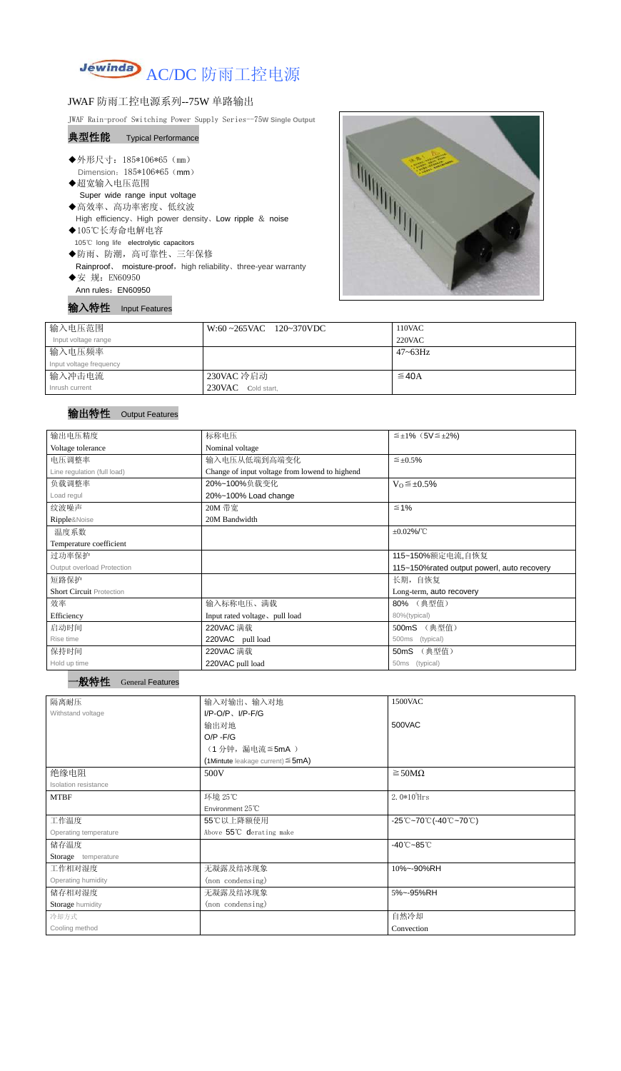

## JWAF 防雨工控电源系列--75W 单路输出

JWAF Rain-proof Switching Power Supply Series--75**W Single Output**

## 典型性能 Typical Performance

- ◆外形尺寸: 185\*106\*65 (mm) Dimension: 185\*106\*65 (mm)
- ◆超宽输入电压范围 Super wide range input voltage
- ◆高效率、高功率密度、低纹波 High efficiency、High power density、Low ripple & noise
- ◆105℃长寿命电解电容 105℃ long life electrolytic capacitors
- ◆防雨、防潮,高可靠性、三年保修 Rainproof、 moisture-proof, high reliability、three-year warranty ◆安 规: EN60950
- Ann rules: EN60950

输入特性 Input Features



## 输出特性 Output Features



| ľΞ |  | <b>General Features</b> |  |
|----|--|-------------------------|--|
|----|--|-------------------------|--|

| 输入电压范围                  | $W:60 \sim 265$ VAC 120~370VDC | 110VAC       |
|-------------------------|--------------------------------|--------------|
| Input voltage range     |                                | $220$ VAC    |
| 输入电压频率                  |                                | $47 - 63$ Hz |
| Input voltage frequency |                                |              |
| 输入冲击电流                  | 230VAC 冷启动                     | $\leq$ 40A   |
| Inrush current          | 230VAC Cold start,             |              |

| 输出电压精度                          | 标称电压                                           | $\leq \pm 1\%$ (5V $\leq \pm 2\%$ )         |  |  |
|---------------------------------|------------------------------------------------|---------------------------------------------|--|--|
| Voltage tolerance               | Nominal voltage                                |                                             |  |  |
| 电压调整率                           | 输入电压从低端到高端变化                                   | $\leq \pm 0.5\%$                            |  |  |
| Line regulation (full load)     | Change of input voltage from lowend to highend |                                             |  |  |
| 负载调整率                           | 20%~100%负载变化                                   | $V_0 \leq \pm 0.5\%$                        |  |  |
| Load regul                      | 20%~100% Load change                           |                                             |  |  |
| 纹波噪声                            | 20M 带宽                                         | $\leq 1\%$                                  |  |  |
| Ripple&Noise                    | 20M Bandwidth                                  |                                             |  |  |
| 温度系数                            |                                                | $\pm 0.02\%$ /°C                            |  |  |
| Temperature coefficient         |                                                |                                             |  |  |
| 过功率保护                           |                                                | 115~150%额定电流,自恢复                            |  |  |
| Output overload Protection      |                                                | 115~150% rated output powerl, auto recovery |  |  |
| 短路保护                            |                                                | 长期, 自恢复                                     |  |  |
| <b>Short Circuit Protection</b> |                                                | Long-term, auto recovery                    |  |  |
| 效率                              | 输入标称电压、满载                                      | 80% (典型值)                                   |  |  |
| Efficiency                      | Input rated voltage, pull load                 | 80%(typical)                                |  |  |
| 启动时间                            | 220VAC 满载                                      | 500mS (典型值)                                 |  |  |
| Rise time                       | 220VAC pull load                               | 500ms<br>(typical)                          |  |  |
| 保持时间                            | 220VAC 满载                                      | (典型值)<br>50 <sub>m</sub> S                  |  |  |
| Hold up time                    | 220VAC pull load<br>50ms<br>(typical)          |                                             |  |  |

| 隔离耐压                  | 输入对输出、输入对地                             | 1500VAC                                                                               |  |
|-----------------------|----------------------------------------|---------------------------------------------------------------------------------------|--|
| Withstand voltage     | $I/P-O/P$ , $I/P-F/G$                  |                                                                                       |  |
|                       | 输出对地                                   | 500VAC                                                                                |  |
|                       | $O/P - F/G$                            |                                                                                       |  |
|                       | (1分钟,漏电流≦5mA)                          |                                                                                       |  |
|                       | (1Mintute leakage current) $\leq$ 5mA) |                                                                                       |  |
| 绝缘电阻                  | 500V                                   | $\geq$ 50M $\Omega$                                                                   |  |
| Isolation resistance  |                                        |                                                                                       |  |
| <b>MTBF</b>           | 环境 25℃                                 | $2.0*105$ Hrs                                                                         |  |
|                       | Environment $25^{\circ}$ C             |                                                                                       |  |
| 工作温度                  | 55℃以上降额使用                              | $-25^{\circ}\text{C}-70^{\circ}\text{C}$ (-40 $^{\circ}\text{C}-70^{\circ}\text{C}$ ) |  |
| Operating temperature | Above 55°C derating make               |                                                                                       |  |
| 储存温度                  |                                        | $-40^{\circ}$ C $-85^{\circ}$ C                                                       |  |
| Storage temperature   |                                        |                                                                                       |  |
| 工作相对湿度                | 无凝露及结冰现象                               | 10%~-90%RH                                                                            |  |
| Operating humidity    | (non condensing)                       |                                                                                       |  |
| 储存相对湿度                | 无凝露及结冰现象                               | 5%~-95%RH                                                                             |  |
| Storage humidity      | (non condensing)                       |                                                                                       |  |
| 冷却方式                  |                                        | 自然冷却                                                                                  |  |
| Cooling method        |                                        | Convection                                                                            |  |